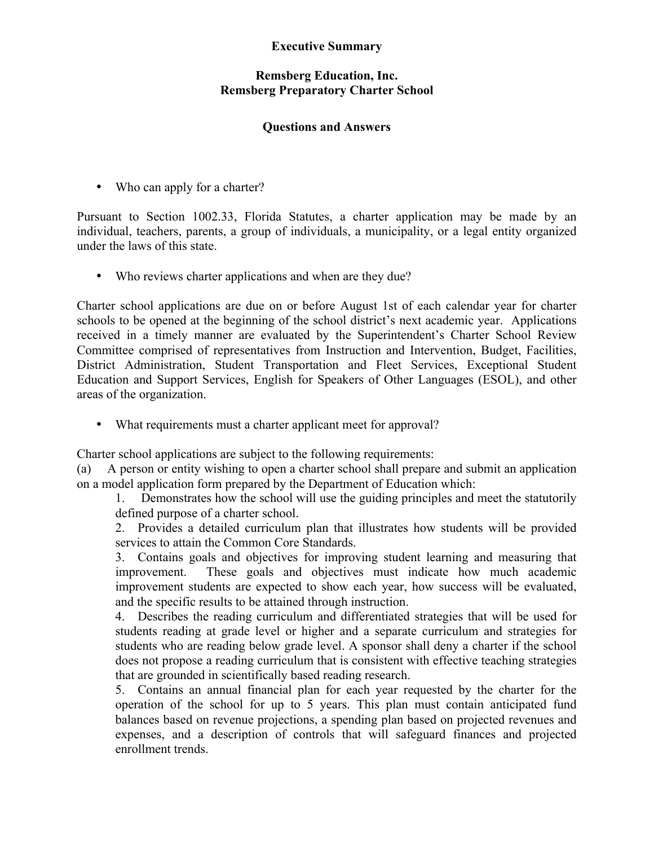## **Executive Summary**

## **Remsberg Education, Inc. Remsberg Preparatory Charter School**

## **Questions and Answers**

• Who can apply for a charter?

Pursuant to Section 1002.33, Florida Statutes, a charter application may be made by an individual, teachers, parents, a group of individuals, a municipality, or a legal entity organized under the laws of this state.

• Who reviews charter applications and when are they due?

Charter school applications are due on or before August 1st of each calendar year for charter schools to be opened at the beginning of the school district's next academic year. Applications received in a timely manner are evaluated by the Superintendent's Charter School Review Committee comprised of representatives from Instruction and Intervention, Budget, Facilities, District Administration, Student Transportation and Fleet Services, Exceptional Student Education and Support Services, English for Speakers of Other Languages (ESOL), and other areas of the organization.

• What requirements must a charter applicant meet for approval?

Charter school applications are subject to the following requirements:

(a) A person or entity wishing to open a charter school shall prepare and submit an application on a model application form prepared by the Department of Education which:

1. Demonstrates how the school will use the guiding principles and meet the statutorily defined purpose of a charter school.

2. Provides a detailed curriculum plan that illustrates how students will be provided services to attain the Common Core Standards.

3. Contains goals and objectives for improving student learning and measuring that improvement. These goals and objectives must indicate how much academic improvement students are expected to show each year, how success will be evaluated, and the specific results to be attained through instruction.

4. Describes the reading curriculum and differentiated strategies that will be used for students reading at grade level or higher and a separate curriculum and strategies for students who are reading below grade level. A sponsor shall deny a charter if the school does not propose a reading curriculum that is consistent with effective teaching strategies that are grounded in scientifically based reading research.

5. Contains an annual financial plan for each year requested by the charter for the operation of the school for up to 5 years. This plan must contain anticipated fund balances based on revenue projections, a spending plan based on projected revenues and expenses, and a description of controls that will safeguard finances and projected enrollment trends.